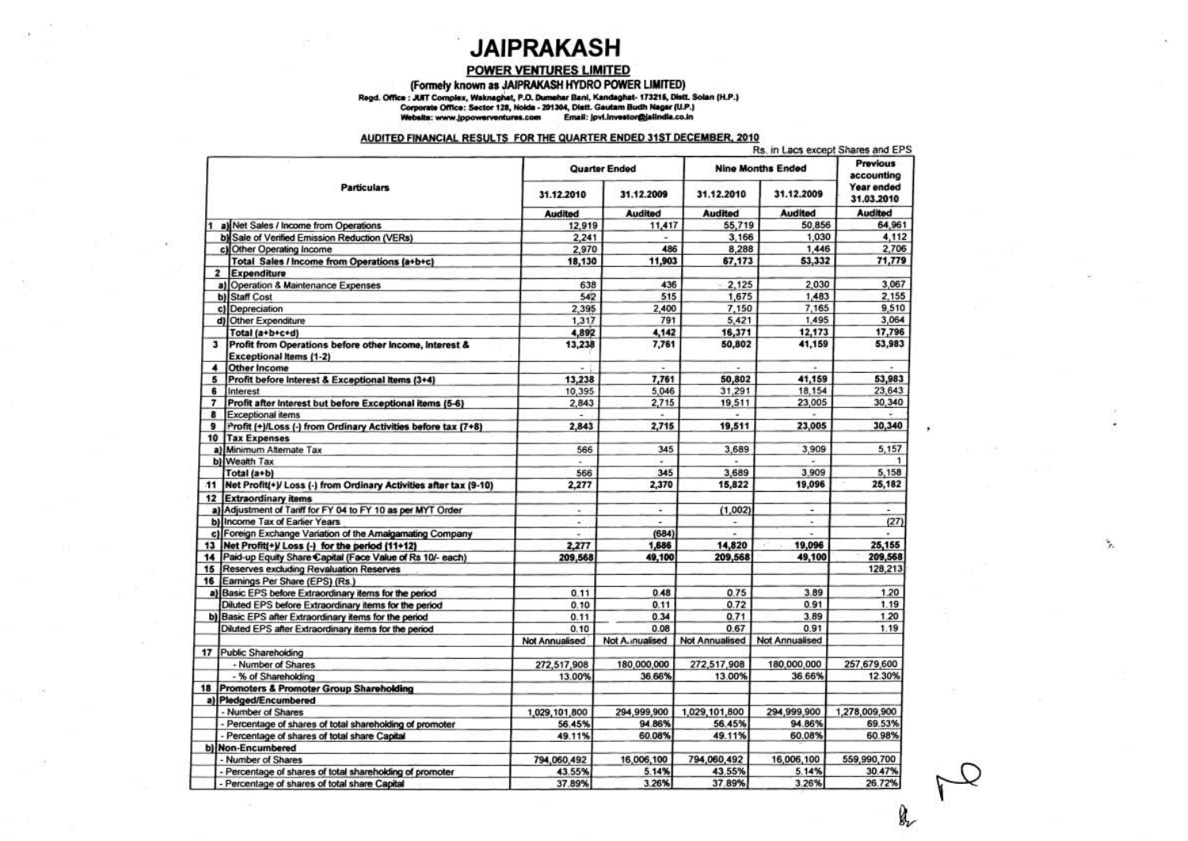## ' **JAIPRAKASH**

**POWER VENTURES LIMITED** 

(**Formely known as JAIPRAKASH HYDRO POWER LIMITED)**<br>Regd. Office : JUIT Complex, Waknaghat, P.O. Dumehar Bani, Kandaghat- 173215, D<del>is</del>tt. Solan (H.P.)

Chpomte **OPRce: Sedor 128, Nd6** - **201304, M.tt Gaubm Budh N8-r (U.P.)** 

www.jppowerventures.com **Email: jpvl.investor@jalindia.co.in** 

## **AUDITED FINANCIAL RESULTS FOR THE QUARTER ENDED 31ST DECEMBER. 2010**



|                         |                                                                                          | <b>Quarter Ended</b>         |                              | Rs. In Lacs except Shares and El<br><b>Nine Months Ended</b> |                              | <b>Previous</b><br>accounting       |
|-------------------------|------------------------------------------------------------------------------------------|------------------------------|------------------------------|--------------------------------------------------------------|------------------------------|-------------------------------------|
|                         | <b>Particulars</b>                                                                       | 31.12.2010<br><b>Audited</b> | 31.12.2009<br><b>Audited</b> | 31.12.2010<br><b>Audited</b>                                 | 31.12.2009<br><b>Audited</b> | Year ended<br>31.03.2010<br>Audited |
|                         |                                                                                          |                              |                              |                                                              |                              |                                     |
|                         | a) Net Sales / Income from Operations                                                    | 12,919                       | 11,417                       | 55,719                                                       | 50,856                       | 64,96                               |
|                         | b) Sale of Verified Emission Reduction (VERs)                                            | 2,241                        |                              | 3,166                                                        | 1,030                        | 4,11                                |
|                         | c) Other Operating Income                                                                | 2,970                        | 486                          | 8,288                                                        | 1,446                        | 2,70                                |
|                         | Total Sales / Income from Operations (a+b+c)                                             | 18,130                       | 11,903                       | 67,173                                                       | 53,332                       | 71,77                               |
| $\overline{\mathbf{z}}$ | <b>Expenditure</b>                                                                       |                              |                              |                                                              |                              |                                     |
|                         | a) Operation & Maintenance Expenses                                                      | 638                          | 436                          | 2,125                                                        | 2,030                        | 3,06                                |
|                         | b) Staff Cost                                                                            | 542                          | 515                          | 1,675                                                        | 1,483                        | 2,15                                |
|                         | c) Depreciation                                                                          | 2,395                        | 2,400                        | 7,150                                                        | 7,165                        | 9,51                                |
|                         | d) Other Expenditure                                                                     | 1,317                        | 791                          | 5,421                                                        | 1,495                        | 3,06                                |
|                         | Total (a+b+c+d)                                                                          | 4,892                        | 4,142                        | 16,371                                                       | 12,173                       | 17,796                              |
| 3                       | Profit from Operations before other Income, Interest &<br><b>Exceptional Items (1-2)</b> | 13,238                       | 7,761                        | 50,802                                                       | 41,159                       | 53,983                              |
| 4                       | Other Income                                                                             | ۰.                           | ۰                            | ۰                                                            | ۰.                           | $\sigma$ .                          |
| 5                       | Profit before Interest & Exceptional Items (3+4)                                         | 13,238                       | 7,761                        | 50,802                                                       | 41,159                       | 53,983                              |
| 6                       | Interest                                                                                 | 10,395                       | 5,046                        | 31,291                                                       | 18,154                       | 23,643                              |
| 7                       | Profit after Interest but before Exceptional items (5-6)                                 | 2,843                        | 2,715                        | 19,511                                                       | 23,005                       | 30,340                              |
| 8                       | Exceptional items                                                                        | ۰                            | ٠                            |                                                              |                              |                                     |
| 9                       | Profit (+)/Loss (-) from Ordinary Activities before tax (7+8)                            | 2,843                        | 2,715                        | 19,511                                                       | 23,005                       | 30,340                              |
| 10                      | <b>Tax Expenses</b>                                                                      |                              |                              |                                                              |                              |                                     |
| a)                      | Minimum Altemate Tax                                                                     | 566                          | 345                          | 3,689                                                        | 3,909                        | 5,157                               |
| ы                       | Wealth Tax                                                                               |                              | ×                            |                                                              |                              |                                     |
|                         | Total (a+b)                                                                              | 566                          | 345                          | 3,689                                                        | 3.909                        | 5,158                               |
|                         | 11 Net Profit(+)/ Loss (-) from Ordinary Activities after tax (9-10)                     | 2,277                        | 2,370                        | 15,822                                                       | 19,096                       | 25,182                              |
|                         | 12 Extraordinary items                                                                   |                              |                              |                                                              |                              |                                     |
|                         | a) Adjustment of Tariff for FY 04 to FY 10 as per MYT Order                              | $\sim$                       | ٠                            | (1,002)                                                      | ٠                            |                                     |
|                         | b) Income Tax of Earlier Years                                                           | ۰                            |                              |                                                              | ۰                            | (27)                                |
|                         | c) Foreign Exchange Variation of the Amalgamating Company                                | $\star$                      | (684)                        | ۰                                                            |                              | $\sim$                              |
|                         | 13 Net Profit(+)/ Loss (-) for the period (11+12)                                        | 2,277                        | 1,686                        | 14,820                                                       | 19,096                       | 25,155                              |
| 14                      | Paid-up Equity Share Capital (Face Value of Rs 10/- each)                                | 209,568                      | 49,100                       | 209,568                                                      | 49,100                       | 209,568                             |
| 15                      | Reserves excluding Revaluation Reserves                                                  |                              |                              |                                                              |                              | 128,213                             |
| 16                      | Earnings Per Share (EPS) (Rs.)                                                           |                              |                              |                                                              |                              |                                     |
|                         | a) Basic EPS before Extraordinary items for the period                                   | 0.11                         | 0.48                         | 0.75                                                         | 3.89                         | 1.20                                |
|                         | Diluted EPS before Extraordinary items for the period                                    | 0.10                         | 0.11                         | 0.72                                                         | 0.91                         | 1.19                                |
|                         | b) Basic EPS after Extraordinary items for the period                                    | 0.11                         | 0.34                         | 0.71                                                         | 3.89                         | 1.20                                |
|                         | Diluted EPS after Extraordinary items for the period                                     | 0.10                         | 0.08                         | 0.67                                                         | 0.91                         | 1.19                                |
|                         |                                                                                          | Not Annualised               | Not A. nualised              | Not Annualised                                               | Not Annualised               |                                     |
| 17                      | Public Shareholding                                                                      |                              |                              |                                                              |                              |                                     |
|                         | - Number of Shares                                                                       | 272,517,908                  | 180,000,000                  | 272,517,908                                                  | 180,000,000                  | 257,679,600                         |
|                         | - % of Shareholding                                                                      | 13.00%                       | 36.66%                       | 13.00%                                                       | 36,66%                       | 12.30%                              |
| 18                      | <b>Promoters &amp; Promoter Group Shareholding</b>                                       |                              |                              |                                                              |                              |                                     |
|                         | a) Pledged/Encumbered                                                                    |                              |                              |                                                              |                              |                                     |
|                         | - Number of Shares                                                                       | 1,029,101,800                | 294,999,900                  | 1,029,101,800                                                | 294,999,900                  | 1,278,009,900                       |
|                         | - Percentage of shares of total shareholding of promoter                                 | 56.45%                       | 94.86%                       | 56.45%                                                       | 94.86%                       | 69.53%                              |
|                         | - Percentage of shares of total share Capital                                            | 49.11%                       | 60.08%                       | 49.11%                                                       | 60.08%                       | 60.98%                              |
|                         | b) Non-Encumbered                                                                        |                              |                              |                                                              |                              |                                     |
|                         | - Number of Shares                                                                       | 794,060,492                  | 16,006,100                   | 794,060,492                                                  | 16,006,100                   | 559,990,700                         |
|                         | Percentage of shares of total shareholding of promoter                                   | 43.55%                       | 5.14%                        | 43.55%                                                       | 5.14%                        | 30.47%                              |
|                         | - Percentage of shares of total share Capital                                            | 37.89%                       | 3.26%                        | 37.89%                                                       | 3.26%                        | 26.72%                              |